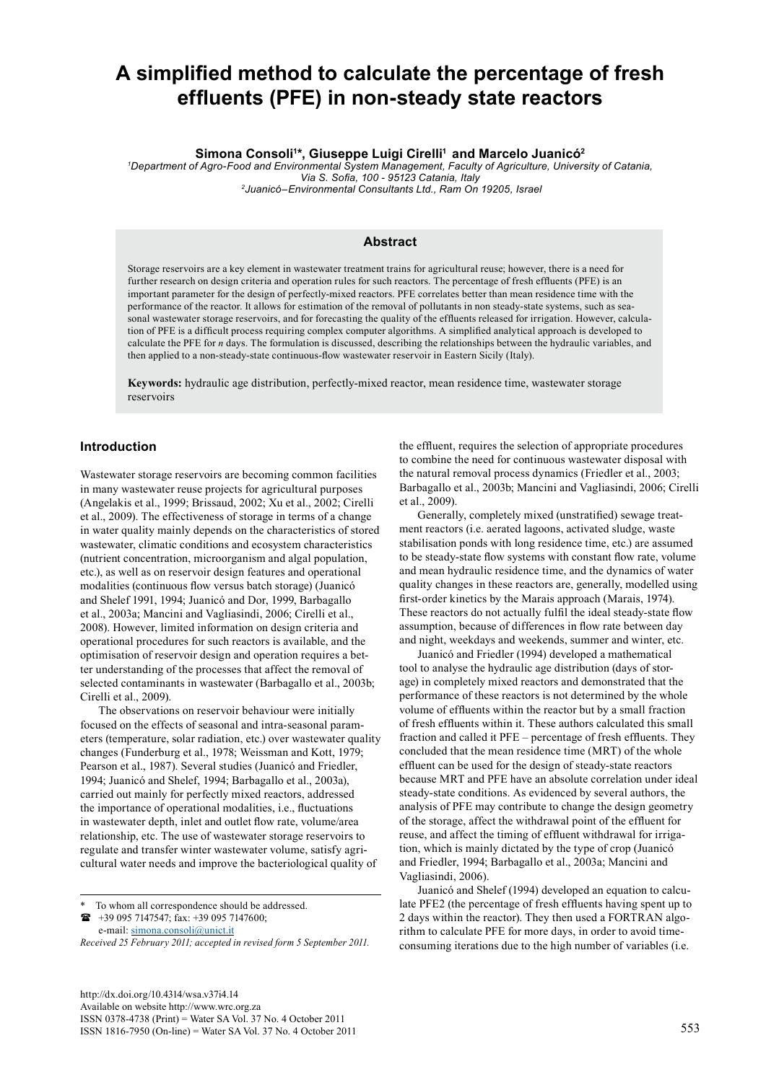# **A simplified method to calculate the percentage of fresh effluents (PFE) in non-steady state reactors**

**Simona Consoli<sup>1</sup> \*, Giuseppe Luigi Cirelli<sup>1</sup> and Marcelo Juanicó<sup>2</sup>**

*1 Department of Agro-Food and Environmental System Management, Faculty of Agriculture, University of Catania, Via S. Sofia, 100 - 95123 Catania, Italy 2Juanicó–Environmental Consultants Ltd., Ram On 19205, Israel* 

#### **Abstract**

Storage reservoirs are a key element in wastewater treatment trains for agricultural reuse; however, there is a need for further research on design criteria and operation rules for such reactors. The percentage of fresh effluents (PFE) is an important parameter for the design of perfectly-mixed reactors. PFE correlates better than mean residence time with the performance of the reactor. It allows for estimation of the removal of pollutants in non steady-state systems, such as seasonal wastewater storage reservoirs, and for forecasting the quality of the effluents released for irrigation. However, calculation of PFE is a difficult process requiring complex computer algorithms. A simplified analytical approach is developed to calculate the PFE for *n* days. The formulation is discussed, describing the relationships between the hydraulic variables, and then applied to a non-steady-state continuous-flow wastewater reservoir in Eastern Sicily (Italy).

**Keywords:** hydraulic age distribution, perfectly-mixed reactor, mean residence time, wastewater storage reservoirs

#### **Introduction**

Wastewater storage reservoirs are becoming common facilities in many wastewater reuse projects for agricultural purposes (Angelakis et al., 1999; Brissaud, 2002; Xu et al., 2002; Cirelli et al., 2009). The effectiveness of storage in terms of a change in water quality mainly depends on the characteristics of stored wastewater, climatic conditions and ecosystem characteristics (nutrient concentration, microorganism and algal population, etc.), as well as on reservoir design features and operational modalities (continuous flow versus batch storage) (Juanicó and Shelef 1991, 1994; Juanicó and Dor, 1999, Barbagallo et al., 2003a; Mancini and Vagliasindi, 2006; Cirelli et al., 2008). However, limited information on design criteria and operational procedures for such reactors is available, and the optimisation of reservoir design and operation requires a better understanding of the processes that affect the removal of selected contaminants in wastewater (Barbagallo et al., 2003b; Cirelli et al., 2009).

The observations on reservoir behaviour were initially focused on the effects of seasonal and intra-seasonal parameters (temperature, solar radiation, etc.) over wastewater quality changes (Funderburg et al., 1978; Weissman and Kott, 1979; Pearson et al., 1987). Several studies (Juanicó and Friedler, 1994; Juanicó and Shelef, 1994; Barbagallo et al., 2003a), carried out mainly for perfectly mixed reactors, addressed the importance of operational modalities, i.e., fluctuations in wastewater depth, inlet and outlet flow rate, volume/area relationship, etc. The use of wastewater storage reservoirs to regulate and transfer winter wastewater volume, satisfy agricultural water needs and improve the bacteriological quality of

To whom all correspondence should be addressed.

 +39 095 7147547; fax: +39 095 7147600; e-mail: [simona.consoli@unict.it](mailto:simona.consoli@unict.it) 

*Received 25 February 2011; accepted in revised form 5 September 2011.*

<http://dx.doi.org/10.4314/wsa.v37i4.14> Available on website http://www.wrc.org.za ISSN 0378-4738 (Print) = Water SA Vol. 37 No. 4 October 2011 ISSN 1816-7950 (On-line) = Water SA Vol. 37 No. 4 October 2011 553

the effluent, requires the selection of appropriate procedures to combine the need for continuous wastewater disposal with the natural removal process dynamics (Friedler et al., 2003; Barbagallo et al., 2003b; Mancini and Vagliasindi, 2006; Cirelli et al., 2009).

Generally, completely mixed (unstratified) sewage treatment reactors (i.e. aerated lagoons, activated sludge, waste stabilisation ponds with long residence time, etc.) are assumed to be steady-state flow systems with constant flow rate, volume and mean hydraulic residence time, and the dynamics of water quality changes in these reactors are, generally, modelled using first-order kinetics by the Marais approach (Marais, 1974). These reactors do not actually fulfil the ideal steady-state flow assumption, because of differences in flow rate between day and night, weekdays and weekends, summer and winter, etc.

Juanicó and Friedler (1994) developed a mathematical tool to analyse the hydraulic age distribution (days of storage) in completely mixed reactors and demonstrated that the performance of these reactors is not determined by the whole volume of effluents within the reactor but by a small fraction of fresh effluents within it. These authors calculated this small fraction and called it PFE – percentage of fresh effluents. They concluded that the mean residence time (MRT) of the whole effluent can be used for the design of steady-state reactors because MRT and PFE have an absolute correlation under ideal steady-state conditions. As evidenced by several authors, the analysis of PFE may contribute to change the design geometry of the storage, affect the withdrawal point of the effluent for reuse, and affect the timing of effluent withdrawal for irrigation, which is mainly dictated by the type of crop (Juanicó and Friedler, 1994; Barbagallo et al., 2003a; Mancini and Vagliasindi, 2006).

Juanicó and Shelef (1994) developed an equation to calculate PFE2 (the percentage of fresh effluents having spent up to 2 days within the reactor). They then used a FORTRAN algorithm to calculate PFE for more days, in order to avoid timeconsuming iterations due to the high number of variables (i.e.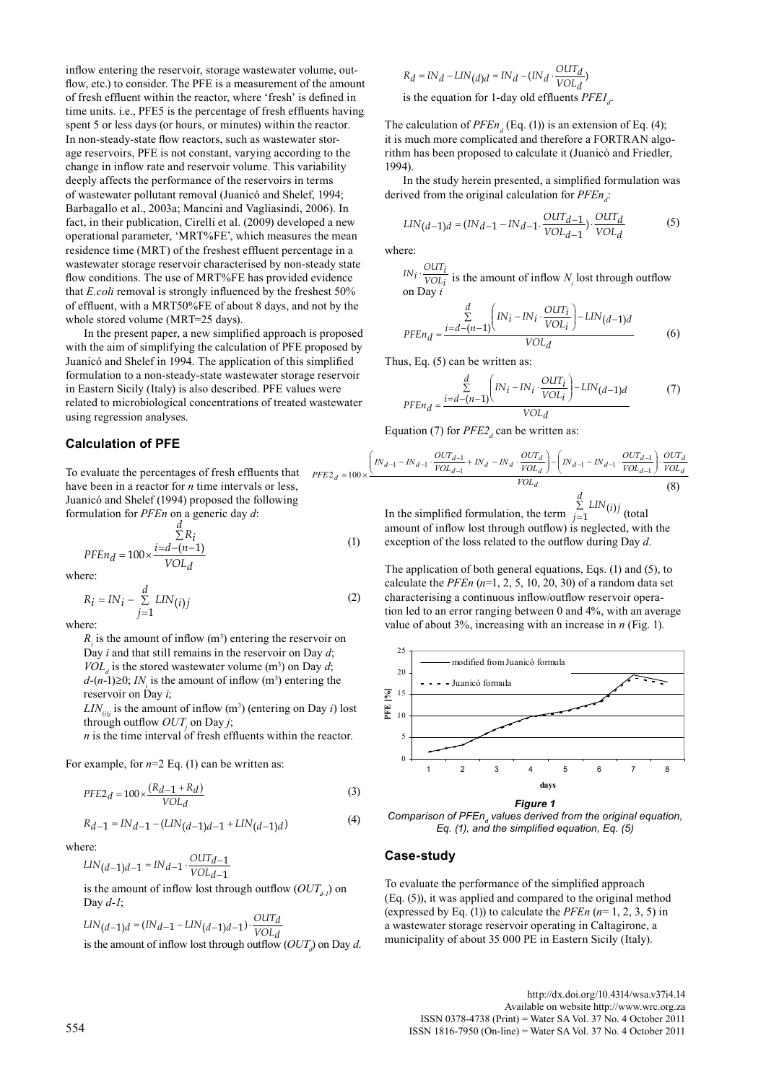inflow entering the reservoir, storage wastewater volume, outflow, etc.) to consider. The PFE is a measurement of the amount of fresh effluent within the reactor, where 'fresh' is defined in time units. i.e., PFE5 is the percentage of fresh effluents having spent 5 or less days (or hours, or minutes) within the reactor. In non-steady-state flow reactors, such as wastewater storage reservoirs, PFE is not constant, varying according to the change in inflow rate and reservoir volume. This variability deeply affects the performance of the reservoirs in terms of wastewater pollutant removal (Juanicó and Shelef, 1994; Barbagallo et al., 2003a; Mancini and Vagliasindi, 2006). In fact, in their publication, Cirelli et al. (2009) developed a new operational parameter, 'MRT%FE', which measures the mean residence time (MRT) of the freshest effluent percentage in a wastewater storage reservoir characterised by non-steady state flow conditions. The use of MRT%FE has provided evidence that *E.coli* removal is strongly influenced by the freshest 50% of effluent, with a MRT50%FE of about 8 days, and not by the whole stored volume (MRT=25 days).

In the present paper, a new simplified approach is proposed with the aim of simplifying the calculation of PFE proposed by Juanicó and Shelef in 1994. The application of this simplified formulation to a non-steady-state wastewater storage reservoir in Eastern Sicily (Italy) is also described. PFE values were related to microbiological concentrations of treated wastewater using regression analyses.

#### **Calculation of PFE**

To evaluate the percentages of fresh effluents that have been in a reactor for *n* time intervals or less, Juanicó and Shelef (1994) proposed the following formulation for *PFEn* on a generic day *d*:  $PFE2_d = 100$ 

$$
PFEn_d = 100 \times \frac{i = d - (n-1)}{VOL_d}
$$
 (1)

where:

$$
R_i = IN_i - \sum_{j=1}^{d} LIN(i)j
$$
 (2)

where:

 $R<sub>i</sub>$  is the amount of inflow (m<sup>3</sup>) entering the reservoir on Day *i* and that still remains in the reservoir on Day *d*;  $VOL<sub>d</sub>$  is the stored wastewater volume (m<sup>3</sup>) on Day *d*;  $d-(n-1) \geq 0$ ; *IN<sub>i</sub>* is the amount of inflow (m<sup>3</sup>) entering the reservoir on Day *i*;

 $LIN_{(i)j}$  is the amount of inflow (m<sup>3</sup>) (entering on Day *i*) lost through outflow  $OUT_j$  on Day *j*;

*n* is the time interval of fresh effluents within the reactor.

For example, for  $n=2$  Eq. (1) can be written as:

$$
PFE2_d = 100 \times \frac{(R_d - 1 + R_d)}{VOL_d}
$$
\n(3)

$$
R_{d-1} = IN_{d-1} - (LIN_{(d-1)d-1} + LIN_{(d-1)d})
$$
\n(4)

where:

$$
LIN(d-1)d-1=INd-1\cdot\frac{OUTd-1}{VOLd-1}
$$

is the amount of inflow lost through outflow  $(OUT_{d})$  on Day *d-1*;

$$
LIN(d-1)d = (INd-1 - LIN(d-1)d-1) \cdot \frac{OUTd}{VOLd}
$$
  
is the amount of inflow lost through outflow *(OUT<sub>d</sub>)* on Day *d*.

$$
R_d = IN_d - LIN(d)d = IN_d - (IN_d \cdot \frac{OUT_d}{VOL_d})
$$
  
is the equation for 1-day old effluents *PEEI*<sub>a</sub>

The calculation of  $PFEn_d$  (Eq. (1)) is an extension of Eq. (4); it is much more complicated and therefore a FORTRAN algorithm has been proposed to calculate it (Juanicó and Friedler, 1994).

.

In the study herein presented, a simplified formulation was derived from the original calculation for *PFEn*<sub>d</sub>:

$$
LIN(d-1)d = (INd-1 - INd-1 \cdot \frac{OUTd-1}{VOLd-1}) \cdot \frac{OUTd}{VOLd}
$$
 (5)

where:

 $IN_i \cdot \frac{OUT_i}{VOL_i}$  is the amount of inflow  $N_i$  lost through outflow on Day *i*

$$
PFEn_d = \frac{\sum\limits_{i=d-(n-1)}^{d} \left( IN_i - IN_i \cdot \frac{OUT_i}{VOL_i} \right) - LIN(d-1)d}{VOL_d}
$$
(6)

Thus, Eq. (5) can be written as:

$$
PFEn_d = \frac{\sum\limits_{i=d-(n-1)}^{d} \left( IN_i - IN_i \cdot \frac{OUT_i}{VOL_i} \right) - LIN(d-1)d}{VOL_d}
$$
 (7)

Equation (7) for  $PFE2_d$  can be written as:

$$
_{d} = 100 \times \frac{\left(1 N_{d-1} - 1 N_{d-1} \cdot \frac{OUT_{d-1}}{VOL_{d-1}} + 1 N_{d} - 1 N_{d} \cdot \frac{OUT_{d}}{VOL_{d}}\right) - \left(1 N_{d-1} - 1 N_{d-1} \cdot \frac{OUT_{d-1}}{VOL_{d-1}}\right) \cdot \frac{OUT_{d}}{VOL_{d}}}{VOL_{d}}
$$
\n
$$
d
$$
\n(8)

In the simplified formulation, the term  $\sum_{i=1}^{\infty} LIN(i)j$  (total amount of inflow lost through outflow) is neglected, with the exception of the loss related to the outflow during Day *d*.  $=$  $\sum_{j=1}$  *LIN*(*i*)*j* 

The application of both general equations, Eqs. (1) and (5), to calculate the  $PFEn$   $(n=1, 2, 5, 10, 20, 30)$  of a random data set characterising a continuous inflow/outflow reservoir operation led to an error ranging between 0 and 4%, with an average value of about 3%, increasing with an increase in *n* (Fig. 1).



*Figure 1*

Comparison of PFEn<sub>d</sub> values derived from the original equation, *Eq. (1), and the simplified equation, Eq. (5)*

#### **Case-study**

To evaluate the performance of the simplified approach (Eq. (5)), it was applied and compared to the original method (expressed by Eq. (1)) to calculate the *PFEn* (*n*= 1, 2, 3, 5) in a wastewater storage reservoir operating in Caltagirone, a municipality of about 35 000 PE in Eastern Sicily (Italy).

<http://dx.doi.org/10.4314/wsa.v37i4.14> Available on website http://www.wrc.org.za<br>ISSN 0378-4738 (Print) = Water SA Vol. 37 No. 4 October 2011 ISSN 0378-4738 (Print) = Water SA Vol. 37 No. 4 October 2011 <sup>554</sup> ISSN 1816-7950 (On-line) = Water SA Vol. 37 No. 4 October 2011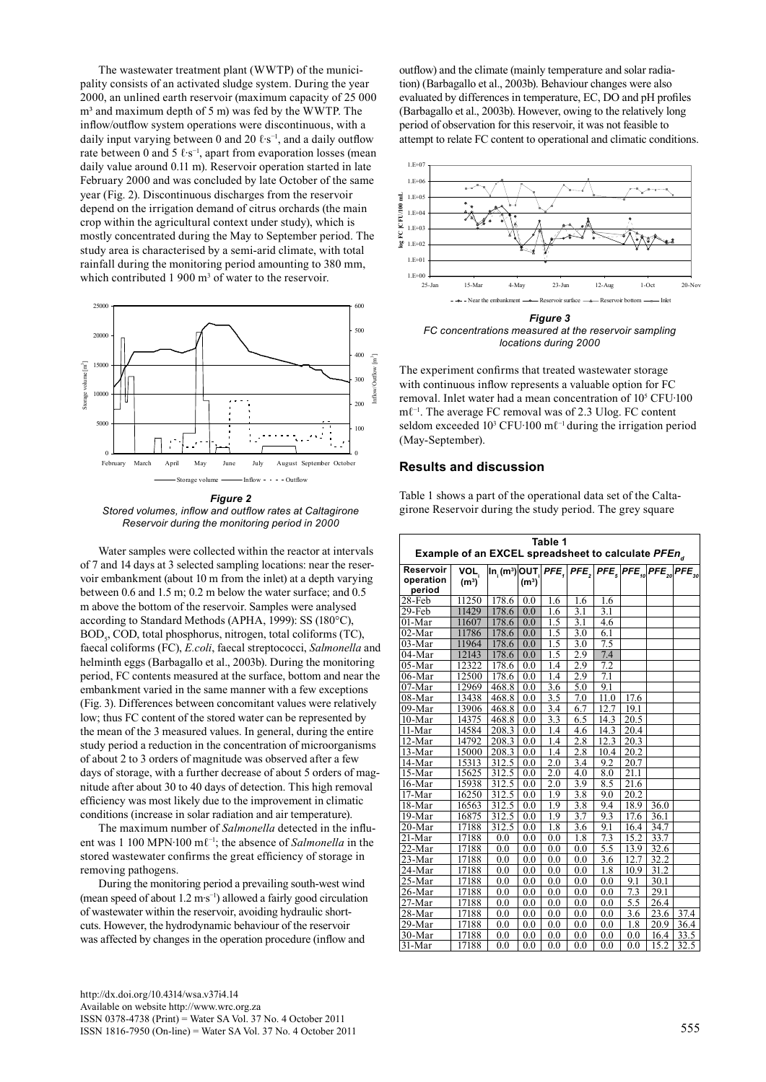The wastewater treatment plant (WWTP) of the municipality consists of an activated sludge system. During the year 2000, an unlined earth reservoir (maximum capacity of 25 000  $m<sup>3</sup>$  and maximum depth of 5 m) was fed by the WWTP. The inflow/outflow system operations were discontinuous, with a daily input varying between 0 and 20  $\ell$ ⋅s<sup>-1</sup>, and a daily outflow rate between 0 and 5 ℓ⋅s<sup>-1</sup>, apart from evaporation losses (mean daily value around 0.11 m). Reservoir operation started in late February 2000 and was concluded by late October of the same year (Fig. 2). Discontinuous discharges from the reservoir depend on the irrigation demand of citrus orchards (the main crop within the agricultural context under study), which is mostly concentrated during the May to September period. The study area is characterised by a semi-arid climate, with total rainfall during the monitoring period amounting to 380 mm, which contributed  $1\,900 \text{ m}^3$  of water to the reservoir.



*Figure 2 Stored volumes, inflow and outflow rates at Caltagirone Reservoir during the monitoring period in 2000*

Water samples were collected within the reactor at intervals of 7 and 14 days at 3 selected sampling locations: near the reservoir embankment (about 10 m from the inlet) at a depth varying between 0.6 and 1.5 m; 0.2 m below the water surface; and 0.5 m above the bottom of the reservoir. Samples were analysed according to Standard Methods (APHA, 1999): SS (180°C), BOD<sub>5</sub>, COD, total phosphorus, nitrogen, total coliforms (TC), faecal coliforms (FC), *E.coli*, faecal streptococci, *Salmonella* and helminth eggs (Barbagallo et al., 2003b). During the monitoring period, FC contents measured at the surface, bottom and near the embankment varied in the same manner with a few exceptions (Fig. 3). Differences between concomitant values were relatively low; thus FC content of the stored water can be represented by the mean of the 3 measured values. In general, during the entire study period a reduction in the concentration of microorganisms of about 2 to 3 orders of magnitude was observed after a few days of storage, with a further decrease of about 5 orders of magnitude after about 30 to 40 days of detection. This high removal efficiency was most likely due to the improvement in climatic conditions (increase in solar radiation and air temperature).

The maximum number of *Salmonella* detected in the influent was 1 100 MPN∙100 mℓ−1; the absence of *Salmonella* in the stored wastewater confirms the great efficiency of storage in removing pathogens.

During the monitoring period a prevailing south-west wind (mean speed of about 1.2 m∙s−1) allowed a fairly good circulation of wastewater within the reservoir, avoiding hydraulic shortcuts. However, the hydrodynamic behaviour of the reservoir was affected by changes in the operation procedure (inflow and

outflow) and the climate (mainly temperature and solar radiation) (Barbagallo et al., 2003b). Behaviour changes were also evaluated by differences in temperature, EC, DO and pH profiles (Barbagallo et al., 2003b). However, owing to the relatively long period of observation for this reservoir, it was not feasible to attempt to relate FC content to operational and climatic conditions.



*FC concentrations measured at the reservoir sampling locations during 2000*

The experiment confirms that treated wastewater storage with continuous inflow represents a valuable option for FC removal. Inlet water had a mean concentration of 105 CFU∙100 mℓ−1. The average FC removal was of 2.3 Ulog. FC content seldom exceeded 10<sup>3</sup> CFU∙100 ml<sup>-1</sup> during the irrigation period (May-September).

## **Results and discussion**

Table 1 shows a part of the operational data set of the Caltagirone Reservoir during the study period. The grey square

| Table 1                                                        |                   |                                                                                                                                                                                                                                                                                                                                             |                   |                  |                  |                  |      |      |      |
|----------------------------------------------------------------|-------------------|---------------------------------------------------------------------------------------------------------------------------------------------------------------------------------------------------------------------------------------------------------------------------------------------------------------------------------------------|-------------------|------------------|------------------|------------------|------|------|------|
| Example of an EXCEL spreadsheet to calculate PFEn <sub>d</sub> |                   |                                                                                                                                                                                                                                                                                                                                             |                   |                  |                  |                  |      |      |      |
| Reservoir                                                      | VOL,              | $\overline{ {\mathsf{In}}_{\scriptscriptstyle\gamma}({\mathsf{m}}^{\scriptscriptstyle 3}) }$ OUT $\overline{ {\mathsf{PFE}}_{\scriptscriptstyle\gamma} }$ PFE $\overline{ {\mathsf{PFE}}_{\scriptscriptstyle\gamma}  }$ PFE $\overline{ {\mathsf{PFE}}_{\scriptscriptstyle 20} }$ PFE $\overline{ {\mathsf{PFE}}_{\scriptscriptstyle 30} }$ |                   |                  |                  |                  |      |      |      |
| operation                                                      | (m <sup>3</sup> ) |                                                                                                                                                                                                                                                                                                                                             | (m <sup>3</sup> ) |                  |                  |                  |      |      |      |
| period                                                         |                   |                                                                                                                                                                                                                                                                                                                                             |                   |                  |                  |                  |      |      |      |
| 28-Feb                                                         | 11250             | 178.6                                                                                                                                                                                                                                                                                                                                       | 0.0               | 1.6              | 1.6              | 1.6              |      |      |      |
| 29-Feb                                                         | 11429             | 178.6                                                                                                                                                                                                                                                                                                                                       | 0.0               | 1.6              | 3.1              | 3.1              |      |      |      |
| 01-Mar                                                         | 11607             | 178.6                                                                                                                                                                                                                                                                                                                                       | 0.0               | 1.5              | 3.1              | 4.6              |      |      |      |
| 02-Mar                                                         | 11786             | 178.6                                                                                                                                                                                                                                                                                                                                       | 0.0               | 1.5              | $\overline{3.0}$ | 6.1              |      |      |      |
| $03-Mar$                                                       | 11964             | 178.6                                                                                                                                                                                                                                                                                                                                       | 0.0               | 1.5              | 3.0              | 7.5              |      |      |      |
| 04-Mar                                                         | 12143             | 178.6                                                                                                                                                                                                                                                                                                                                       | 0.0               | 1.5              | 2.9              | 7.4              |      |      |      |
| $05-Mar$                                                       | 12322             | 178.6                                                                                                                                                                                                                                                                                                                                       | 0.0               | 1.4              | 2.9              | 7.2              |      |      |      |
| 06-Mar                                                         | 12500             | 178.6                                                                                                                                                                                                                                                                                                                                       | 0.0               | 1.4              | $2.\overline{9}$ | 7.1              |      |      |      |
| 07-Mar                                                         | 12969             | 468.8                                                                                                                                                                                                                                                                                                                                       | 0.0               | 3.6              | 5.0              | 9.1              |      |      |      |
| 08-Mar                                                         | 13438             | 468.8                                                                                                                                                                                                                                                                                                                                       | 0.0               | 3.5              | 7.0              | 11.0             | 17.6 |      |      |
| $09$ -Mar                                                      | 13906             | 468.8                                                                                                                                                                                                                                                                                                                                       | 0.0               | 3.4              | 6.7              | 12.7             | 19.1 |      |      |
| $10-Mar$                                                       | 14375             | 468.8                                                                                                                                                                                                                                                                                                                                       | 0.0               | 3.3              | 6.5              | 14.3             | 20.5 |      |      |
| 11-Mar                                                         | 14584             | 208.3                                                                                                                                                                                                                                                                                                                                       | 0.0               | 1.4              | 4.6              | 14.3             | 20.4 |      |      |
| 12-Mar                                                         | 14792             | 208.3                                                                                                                                                                                                                                                                                                                                       | 0.0               | 1.4              | 2.8              | 12.3             | 20.3 |      |      |
| 13-Mar                                                         | 15000             | 208.3                                                                                                                                                                                                                                                                                                                                       | 0.0               | 1.4              | 2.8              | 10.4             | 20.2 |      |      |
| 14-Mar                                                         | 15313             | 312.5                                                                                                                                                                                                                                                                                                                                       | 0.0               | 2.0              | 3.4              | 9.2              | 20.7 |      |      |
| 15-Mar                                                         | 15625             | 312.5                                                                                                                                                                                                                                                                                                                                       | 0.0               | $\overline{2.0}$ | 4.0              | 8.0              | 21.1 |      |      |
| 16-Mar                                                         | 15938             | 312.5                                                                                                                                                                                                                                                                                                                                       | 0.0               | 2.0              | $\overline{3.9}$ | 8.5              | 21.6 |      |      |
| 17-Mar                                                         | 16250             | 312.5                                                                                                                                                                                                                                                                                                                                       | 0.0               | 1.9              | 3.8              | 9.0              | 20.2 |      |      |
| 18-Mar                                                         | 16563             | 312.5                                                                                                                                                                                                                                                                                                                                       | 0.0               | 1.9              | $\overline{3.8}$ | 9.4              | 18.9 | 36.0 |      |
| 19-Mar                                                         | 16875             | 312.5                                                                                                                                                                                                                                                                                                                                       | 0.0               | 1.9              | 3.7              | 9.3              | 17.6 | 36.1 |      |
| 20-Mar                                                         | 17188             | 312.5                                                                                                                                                                                                                                                                                                                                       | 0.0               | 1.8              | 3.6              | 9.1              | 16.4 | 34.7 |      |
| 21-Mar                                                         | 17188             | 0.0                                                                                                                                                                                                                                                                                                                                         | 0.0               | 0.0              | 1.8              | 7.3              | 15.2 | 33.7 |      |
| 22-Mar                                                         | 17188             | 0.0                                                                                                                                                                                                                                                                                                                                         | 0.0               | 0.0              | $_{0.0}$         | 5.5              | 13.9 | 32.6 |      |
| 23-Mar                                                         | 17188             | 0.0                                                                                                                                                                                                                                                                                                                                         | 0.0               | 0.0              | 0.0              | $\overline{3.6}$ | 12.7 | 32.2 |      |
| 24-Mar                                                         | 17188             | 0.0                                                                                                                                                                                                                                                                                                                                         | 0.0               | 0.0              | $_{0.0}$         | 1.8              | 10.9 | 31.2 |      |
| 25-Mar                                                         | 17188             | 0.0                                                                                                                                                                                                                                                                                                                                         | 0.0               | 0.0              | 0.0              | 0.0              | 9.1  | 30.1 |      |
| 26-Mar                                                         | 17188             | 0.0                                                                                                                                                                                                                                                                                                                                         | 0.0               | 0.0              | 0.0              | 0.0              | 7.3  | 29.1 |      |
| 27-Mar                                                         | 17188             | 0.0                                                                                                                                                                                                                                                                                                                                         | 0.0               | 0.0              | 0.0              | 0.0              | 5.5  | 26.4 |      |
| $28 - Mar$                                                     | 17188             | 0.0                                                                                                                                                                                                                                                                                                                                         | 0.0               | 0.0              | 0.0              | 0.0              | 3.6  | 23.6 | 37.4 |
| 29-Mar                                                         | 17188             | 0.0                                                                                                                                                                                                                                                                                                                                         | 0.0               | 0.0              | 0.0              | 0.0              | 1.8  | 20.9 | 36.4 |
| 30-Mar                                                         | 17188             | 0.0                                                                                                                                                                                                                                                                                                                                         | 0.0               | 0.0              | $_{0.0}$         | 0.0              | 0.0  | 16.4 | 33.5 |
| $31-Mar$                                                       | 17188             | 0.0                                                                                                                                                                                                                                                                                                                                         | 0.0               | 0.0              | 0.0              | 0.0              | 0.0  | 15.2 | 32.5 |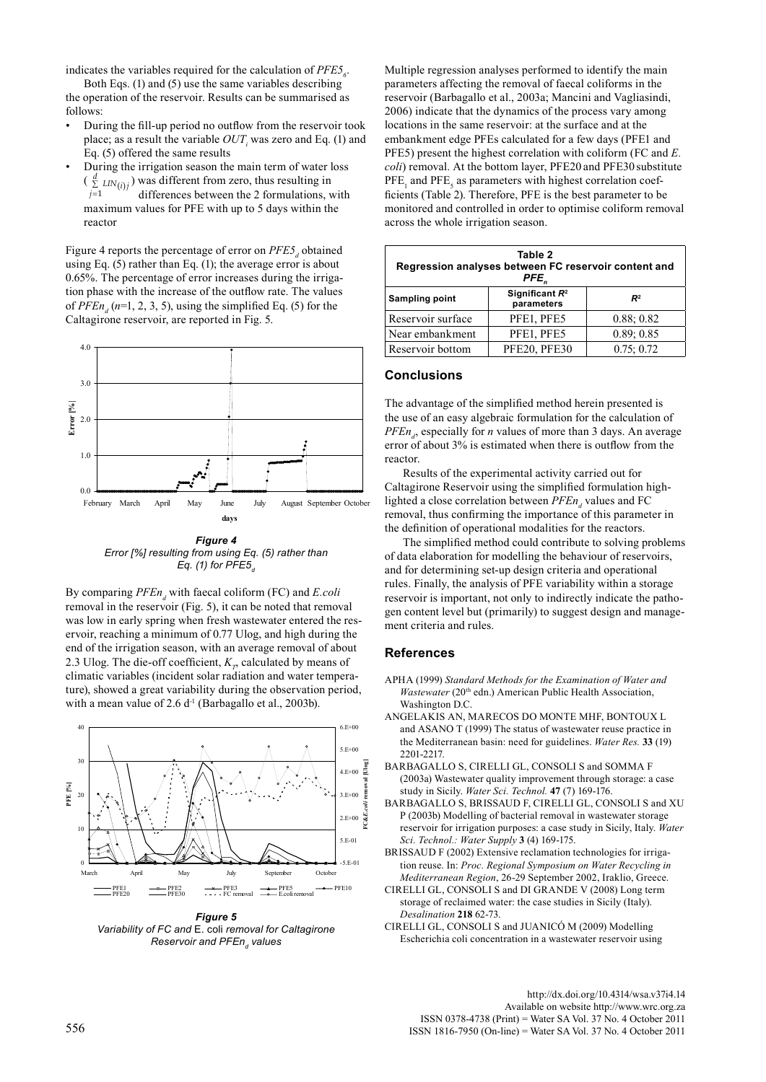indicates the variables required for the calculation of  $PFE5<sub>6</sub>$ .

Both Eqs. (1) and (5) use the same variables describing the operation of the reservoir. Results can be summarised as follows:

- During the fill-up period no outflow from the reservoir took place; as a result the variable  $OUT<sub>i</sub>$  was zero and Eq. (1) and Eq. (5) offered the same results
- During the irrigation season the main term of water loss  $\left(\sum_{j=1}^{d} LIN(i)j\right)$  was different from zero, thus resulting in differences between the 2 formulations.  $\frac{1}{2}$  and  $\frac{1}{2}$  differences between the 2 formulations, within the differences between the 2 formulations, with reactor *j*

Figure 4 reports the percentage of error on *PFE5<sub>d</sub>* obtained using Eq. (5) rather than Eq. (1); the average error is about 0.65%. The percentage of error increases during the irrigation phase with the increase of the outflow rate. The values of  $PFEn_d$  ( $n=1, 2, 3, 5$ ), using the simplified Eq. (5) for the Caltagirone reservoir, are reported in Fig. 5.



*Figure 4 Error [%] resulting from using Eq. (5) rather than Eq.* (1) for PFE5<sub>*d*</sub>

By comparing *PFEn<sub>d</sub>* with faecal coliform (FC) and *E.coli* removal in the reservoir (Fig. 5), it can be noted that removal was low in early spring when fresh wastewater entered the reservoir, reaching a minimum of 0.77 Ulog, and high during the end of the irrigation season, with an average removal of about 2.3 Ulog. The die-off coefficient,  $K_p$  calculated by means of climatic variables (incident solar radiation and water temperature), showed a great variability during the observation period, with a mean value of  $2.6 d<sup>-1</sup>$  (Barbagallo et al., 2003b).



*Figure 5 Variability of FC and* E. coli *removal for Caltagirone Reservoir and PFEnd values*

Multiple regression analyses performed to identify the main parameters affecting the removal of faecal coliforms in the reservoir (Barbagallo et al., 2003a; Mancini and Vagliasindi, 2006) indicate that the dynamics of the process vary among locations in the same reservoir: at the surface and at the embankment edge PFEs calculated for a few days (PFE1 and PFE5) present the highest correlation with coliform (FC and *E. coli*) removal. At the bottom layer, PFE20 and PFE30 substitute  $PFE<sub>1</sub>$  and  $PFE<sub>5</sub>$  as parameters with highest correlation coefficients (Table 2). Therefore, PFE is the best parameter to be monitored and controlled in order to optimise coliform removal across the whole irrigation season.

| Table 2<br>Regression analyses between FC reservoir content and<br>PFE. |                                 |                |  |  |  |  |
|-------------------------------------------------------------------------|---------------------------------|----------------|--|--|--|--|
| Sampling point                                                          | Significant $R^2$<br>parameters | R <sup>2</sup> |  |  |  |  |
| Reservoir surface                                                       | PFE1, PFE5                      | 0.88:0.82      |  |  |  |  |
| Near embankment                                                         | PFE1, PFE5                      | 0.89; 0.85     |  |  |  |  |
| Reservoir bottom                                                        | PFE20, PFE30                    | 0.75:0.72      |  |  |  |  |

### **Conclusions**

The advantage of the simplified method herein presented is the use of an easy algebraic formulation for the calculation of  $PFEn_{d}$ , especially for *n* values of more than 3 days. An average error of about 3% is estimated when there is outflow from the reactor.

Results of the experimental activity carried out for Caltagirone Reservoir using the simplified formulation highlighted a close correlation between *PFEn*, values and FC removal, thus confirming the importance of this parameter in the definition of operational modalities for the reactors.

The simplified method could contribute to solving problems of data elaboration for modelling the behaviour of reservoirs, and for determining set-up design criteria and operational rules. Finally, the analysis of PFE variability within a storage reservoir is important, not only to indirectly indicate the pathogen content level but (primarily) to suggest design and management criteria and rules.

#### **References**

- APHA (1999) *Standard Methods for the Examination of Water and Wastewater* (20<sup>th</sup> edn.) American Public Health Association, Washington D.C.
- Angelakis AN, Marecos Do Monte MHF, Bontoux L and ASANO T (1999) The status of wastewater reuse practice in the Mediterranean basin: need for guidelines. *Water Res.* **33** (19) 2201-2217.
- Barbagallo S, Cirelli Gl, Consoli S and Somma F (2003a) Wastewater quality improvement through storage: a case study in Sicily. *Water Sci. Technol.* **47** (7) 169-176.
- Barbagallo S, Brissaud F, Cirelli GL, Consoli S and Xu P (2003b) Modelling of bacterial removal in wastewater storage reservoir for irrigation purposes: a case study in Sicily, Italy. *Water Sci. Technol.: Water Supply* **3** (4) 169-175.
- BRISSAUD F (2002) Extensive reclamation technologies for irrigation reuse. In: *Proc. Regional Symposium on Water Recycling in Mediterranean Region*, 26-29 September 2002, Iraklio, Greece.
- Cirelli GL, Consoli S and Di Grande V (2008) Long term storage of reclaimed water: the case studies in Sicily (Italy). *Desalination* **218** 62-73.
- Cirelli GL, Consoli S and Juanicó M (2009) Modelling Escherichia coli concentration in a wastewater reservoir using

<http://dx.doi.org/10.4314/wsa.v37i4.14> Available on website http://www.wrc.org.za<br>ISSN 0378-4738 (Print) = Water SA Vol. 37 No. 4 October 2011 ISSN 0378-4738 (Print) = Water SA Vol. 37 No. 4 October 2011 <sup>556</sup> ISSN 1816-7950 (On-line) = Water SA Vol. 37 No. 4 October 2011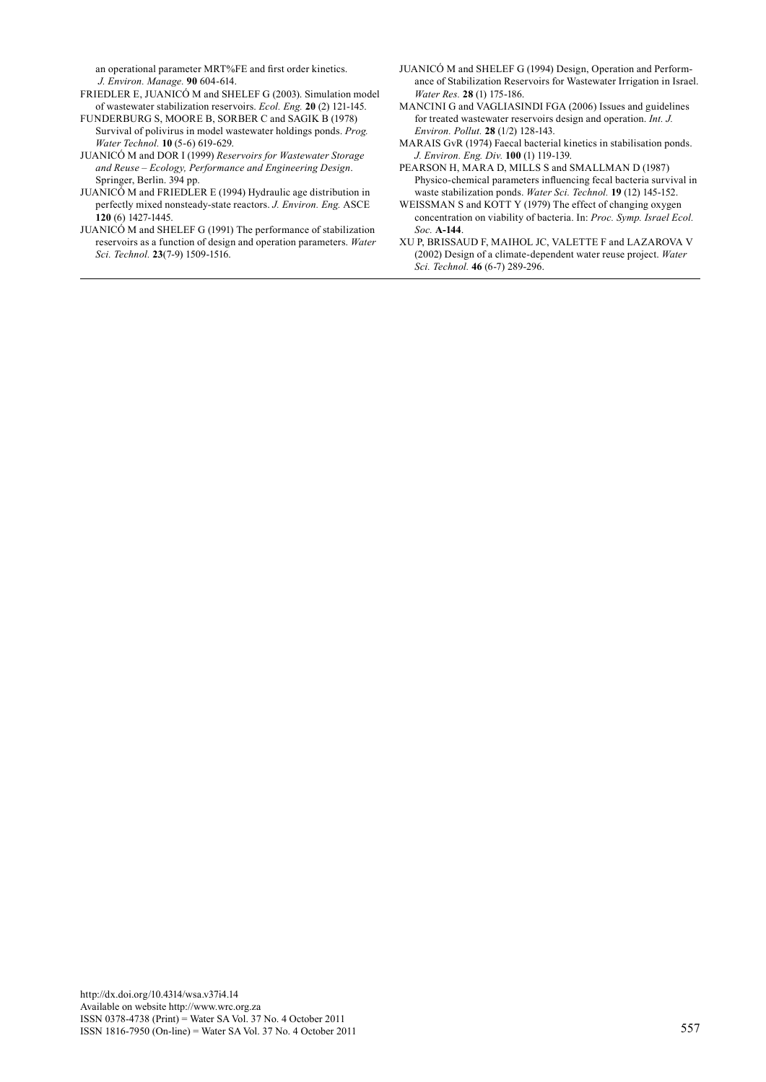an operational parameter MRT%FE and first order kinetics. *J. Environ. Manage.* **90** 604-614.

- FRIEDLER E, JUANICÓ M and SHELEF G (2003). Simulation model of wastewater stabilization reservoirs. *Ecol. Eng.* **20** (2) 121-145.
- FUNDERBURG S, MOORE B, SORBER C and SAGIK B (1978) Survival of polivirus in model wastewater holdings ponds. *Prog. Water Technol.* **10** (5-6) 619-629.
- Juanicó M and Dor I (1999) *Reservoirs for Wastewater Storage and Reuse – Ecology, Performance and Engineering Design*. Springer, Berlin. 394 pp.
- Juanicó M and Friedler E (1994) Hydraulic age distribution in perfectly mixed nonsteady-state reactors. *J. Environ. Eng.* ASCE **120** (6) 1427-1445.
- JUANICÓ M and SHELEF G (1991) The performance of stabilization reservoirs as a function of design and operation parameters. *Water Sci. Technol.* **23**(7-9) 1509-1516.
- Juanicó M and Shelef G (1994) Design, Operation and Performance of Stabilization Reservoirs for Wastewater Irrigation in Israel. *Water Res.* **28** (1) 175-186.
- MANCINI G and VAGLIASINDI FGA (2006) Issues and guidelines for treated wastewater reservoirs design and operation. *Int. J. Environ. Pollut.* **28** (1/2) 128-143.
- MARAIS GvR (1974) Faecal bacterial kinetics in stabilisation ponds. *J. Environ. Eng. Div.* **100** (1) 119-139.
- PEARSON H, MARA D, MILLS S and SMALLMAN D (1987) Physico-chemical parameters influencing fecal bacteria survival in waste stabilization ponds. *Water Sci. Technol.* **19** (12) 145-152.
- WEISSMAN S and KOTT Y (1979) The effect of changing oxygen concentration on viability of bacteria. In: *Proc. Symp. Israel Ecol. Soc.* **A-144**.
- Xu P, Brissaud F, Maihol JC, Valette F and Lazarova V (2002) Design of a climate-dependent water reuse project. *Water Sci. Technol.* **46** (6-7) 289-296.